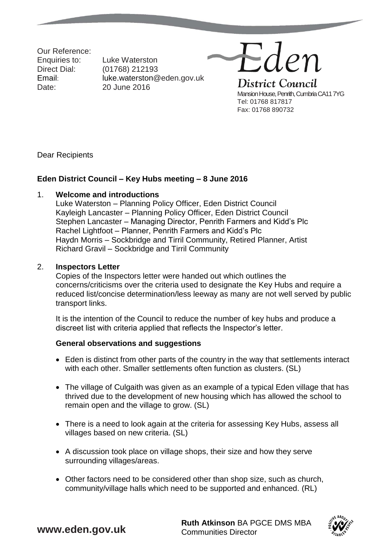Our Reference: Date: 20 June 2016

Enquiries to: Luke Waterston Direct Dial: (01768) 212193 Email: luke.waterston@eden.gov.uk Eden District Council Mansion House, Penrith, Cumbria CA11 7YG Tel: 01768 817817 Fax: 01768 890732

Dear Recipients

## **Eden District Council – Key Hubs meeting – 8 June 2016**

### 1. **Welcome and introductions**

Luke Waterston – Planning Policy Officer, Eden District Council Kayleigh Lancaster – Planning Policy Officer, Eden District Council Stephen Lancaster – Managing Director, Penrith Farmers and Kidd's Plc Rachel Lightfoot – Planner, Penrith Farmers and Kidd's Plc Haydn Morris – Sockbridge and Tirril Community, Retired Planner, Artist Richard Gravil – Sockbridge and Tirril Community

### 2. **Inspectors Letter**

Copies of the Inspectors letter were handed out which outlines the concerns/criticisms over the criteria used to designate the Key Hubs and require a reduced list/concise determination/less leeway as many are not well served by public transport links.

It is the intention of the Council to reduce the number of key hubs and produce a discreet list with criteria applied that reflects the Inspector's letter.

### **General observations and suggestions**

- Eden is distinct from other parts of the country in the way that settlements interact with each other. Smaller settlements often function as clusters. (SL)
- The village of Culgaith was given as an example of a typical Eden village that has thrived due to the development of new housing which has allowed the school to remain open and the village to grow. (SL)
- There is a need to look again at the criteria for assessing Key Hubs, assess all villages based on new criteria. (SL)
- A discussion took place on village shops, their size and how they serve surrounding villages/areas.
- Other factors need to be considered other than shop size, such as church, community/village halls which need to be supported and enhanced. (RL)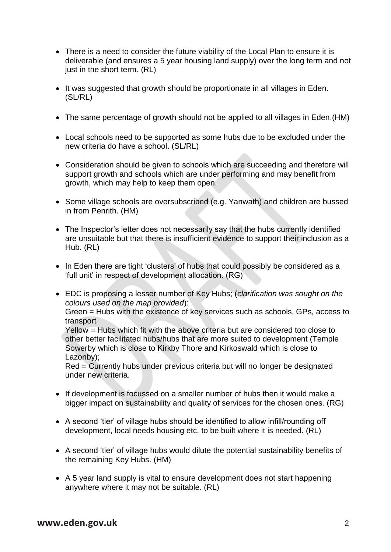- There is a need to consider the future viability of the Local Plan to ensure it is deliverable (and ensures a 5 year housing land supply) over the long term and not just in the short term. (RL)
- It was suggested that growth should be proportionate in all villages in Eden. (SL/RL)
- The same percentage of growth should not be applied to all villages in Eden. (HM)
- Local schools need to be supported as some hubs due to be excluded under the new criteria do have a school. (SL/RL)
- Consideration should be given to schools which are succeeding and therefore will support growth and schools which are under performing and may benefit from growth, which may help to keep them open.
- Some village schools are oversubscribed (e.g. Yanwath) and children are bussed in from Penrith. (HM)
- The Inspector's letter does not necessarily say that the hubs currently identified are unsuitable but that there is insufficient evidence to support their inclusion as a Hub. (RL)
- In Eden there are tight 'clusters' of hubs that could possibly be considered as a 'full unit' in respect of development allocation. (RG)
- EDC is proposing a lesser number of Key Hubs; (*clarification was sought on the colours used on the map provided*): Green = Hubs with the existence of key services such as schools, GPs, access to transport

Yellow = Hubs which fit with the above criteria but are considered too close to other better facilitated hubs/hubs that are more suited to development (Temple Sowerby which is close to Kirkby Thore and Kirkoswald which is close to Lazonby);

Red = Currently hubs under previous criteria but will no longer be designated under new criteria.

- If development is focussed on a smaller number of hubs then it would make a bigger impact on sustainability and quality of services for the chosen ones. (RG)
- A second 'tier' of village hubs should be identified to allow infill/rounding off development, local needs housing etc. to be built where it is needed. (RL)
- A second 'tier' of village hubs would dilute the potential sustainability benefits of the remaining Key Hubs. (HM)
- A 5 year land supply is vital to ensure development does not start happening anywhere where it may not be suitable. (RL)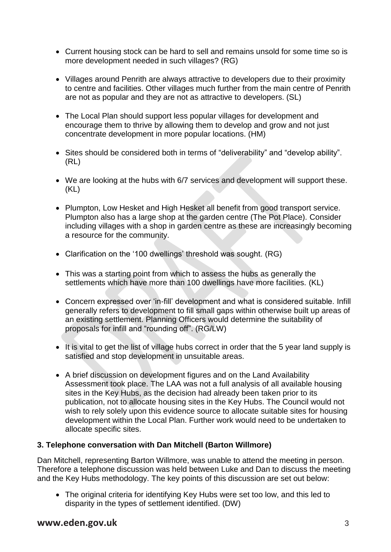- Current housing stock can be hard to sell and remains unsold for some time so is more development needed in such villages? (RG)
- Villages around Penrith are always attractive to developers due to their proximity to centre and facilities. Other villages much further from the main centre of Penrith are not as popular and they are not as attractive to developers. (SL)
- The Local Plan should support less popular villages for development and encourage them to thrive by allowing them to develop and grow and not just concentrate development in more popular locations. (HM)
- Sites should be considered both in terms of "deliverability" and "develop ability". (RL)
- We are looking at the hubs with 6/7 services and development will support these. (KL)
- Plumpton, Low Hesket and High Hesket all benefit from good transport service. Plumpton also has a large shop at the garden centre (The Pot Place). Consider including villages with a shop in garden centre as these are increasingly becoming a resource for the community.
- Clarification on the '100 dwellings' threshold was sought. (RG)
- This was a starting point from which to assess the hubs as generally the settlements which have more than 100 dwellings have more facilities. (KL)
- Concern expressed over 'in-fill' development and what is considered suitable. Infill generally refers to development to fill small gaps within otherwise built up areas of an existing settlement. Planning Officers would determine the suitability of proposals for infill and "rounding off". (RG/LW)
- It is vital to get the list of village hubs correct in order that the 5 year land supply is satisfied and stop development in unsuitable areas.
- A brief discussion on development figures and on the Land Availability Assessment took place. The LAA was not a full analysis of all available housing sites in the Key Hubs, as the decision had already been taken prior to its publication, not to allocate housing sites in the Key Hubs. The Council would not wish to rely solely upon this evidence source to allocate suitable sites for housing development within the Local Plan. Further work would need to be undertaken to allocate specific sites.

# **3. Telephone conversation with Dan Mitchell (Barton Willmore)**

Dan Mitchell, representing Barton Willmore, was unable to attend the meeting in person. Therefore a telephone discussion was held between Luke and Dan to discuss the meeting and the Key Hubs methodology. The key points of this discussion are set out below:

 The original criteria for identifying Key Hubs were set too low, and this led to disparity in the types of settlement identified. (DW)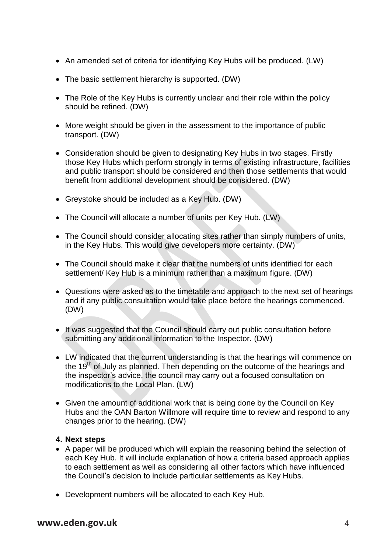- An amended set of criteria for identifying Key Hubs will be produced. (LW)
- The basic settlement hierarchy is supported. (DW)
- The Role of the Key Hubs is currently unclear and their role within the policy should be refined. (DW)
- More weight should be given in the assessment to the importance of public transport. (DW)
- Consideration should be given to designating Key Hubs in two stages. Firstly those Key Hubs which perform strongly in terms of existing infrastructure, facilities and public transport should be considered and then those settlements that would benefit from additional development should be considered. (DW)
- Greystoke should be included as a Key Hub. (DW)
- The Council will allocate a number of units per Key Hub. (LW)
- The Council should consider allocating sites rather than simply numbers of units, in the Key Hubs. This would give developers more certainty. (DW)
- The Council should make it clear that the numbers of units identified for each settlement/ Key Hub is a minimum rather than a maximum figure. (DW)
- Questions were asked as to the timetable and approach to the next set of hearings and if any public consultation would take place before the hearings commenced. (DW)
- It was suggested that the Council should carry out public consultation before submitting any additional information to the Inspector. (DW)
- LW indicated that the current understanding is that the hearings will commence on the 19<sup>th</sup> of July as planned. Then depending on the outcome of the hearings and the inspector's advice, the council may carry out a focused consultation on modifications to the Local Plan. (LW)
- Given the amount of additional work that is being done by the Council on Key Hubs and the OAN Barton Willmore will require time to review and respond to any changes prior to the hearing. (DW)

### **4. Next steps**

- A paper will be produced which will explain the reasoning behind the selection of each Key Hub. It will include explanation of how a criteria based approach applies to each settlement as well as considering all other factors which have influenced the Council's decision to include particular settlements as Key Hubs.
- Development numbers will be allocated to each Key Hub.